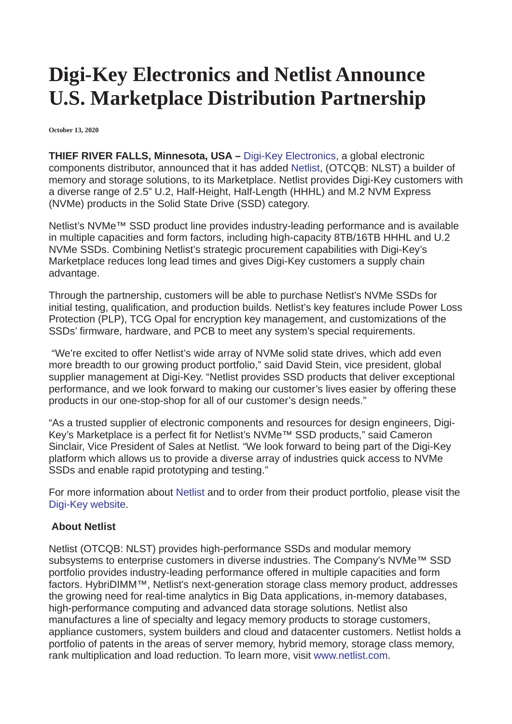## **Digi-Key Electronics and Netlist Announce U.S. Marketplace Distribution Partnership**

**October 13, 2020**

**THIEF RIVER FALLS, Minnesota, USA –** [Digi-Key Electronics,](https://www.digikey.com/?utm_source=referral&utm_medium=pressrelease&utm_campaign=pressrelease) a global electronic components distributor, announced that it has added [Netlist](https://www.digikey.com/en/supplier-centers/netlist-inc?utm_source=referral&utm_medium=pressrelease&utm_campaign=pressrelease), (OTCQB: NLST) a builder of memory and storage solutions, to its Marketplace. Netlist provides Digi-Key customers with a diverse range of 2.5" U.2, Half-Height, Half-Length (HHHL) and M.2 NVM Express (NVMe) products in the Solid State Drive (SSD) category.

Netlist's NVMe™ SSD product line provides industry-leading performance and is available in multiple capacities and form factors, including high-capacity 8TB/16TB HHHL and U.2 NVMe SSDs. Combining Netlist's strategic procurement capabilities with Digi-Key's Marketplace reduces long lead times and gives Digi-Key customers a supply chain advantage.

Through the partnership, customers will be able to purchase Netlist's NVMe SSDs for initial testing, qualification, and production builds. Netlist's key features include Power Loss Protection (PLP), TCG Opal for encryption key management, and customizations of the SSDs' firmware, hardware, and PCB to meet any system's special requirements.

"We're excited to offer Netlist's wide array of NVMe solid state drives, which add even more breadth to our growing product portfolio," said David Stein, vice president, global supplier management at Digi-Key. "Netlist provides SSD products that deliver exceptional performance, and we look forward to making our customer's lives easier by offering these products in our one-stop-shop for all of our customer's design needs."

"As a trusted supplier of electronic components and resources for design engineers, Digi-Key's Marketplace is a perfect fit for Netlist's NVMe™ SSD products," said Cameron Sinclair, Vice President of Sales at Netlist. "We look forward to being part of the Digi-Key platform which allows us to provide a diverse array of industries quick access to NVMe SSDs and enable rapid prototyping and testing."

For more information about [Netlist](http://www.netlist.com/nvme-ssd) and to order from their product portfolio, please visit the [Digi-Key website](https://www.digikey.com/?utm_source=referral&utm_medium=pressrelease&utm_campaign=pressrelease).

## **About Netlist**

Netlist (OTCQB: NLST) provides high-performance SSDs and modular memory subsystems to enterprise customers in diverse industries. The Company's NVMe<sup>™</sup> SSD portfolio provides industry-leading performance offered in multiple capacities and form factors. HybriDIMM™, Netlist's next-generation storage class memory product, addresses the growing need for real-time analytics in Big Data applications, in-memory databases, high-performance computing and advanced data storage solutions. Netlist also manufactures a line of specialty and legacy memory products to storage customers, appliance customers, system builders and cloud and datacenter customers. Netlist holds a portfolio of patents in the areas of server memory, hybrid memory, storage class memory, rank multiplication and load reduction. To learn more, visit [www.netlist.com](http://www.netlist.com/).